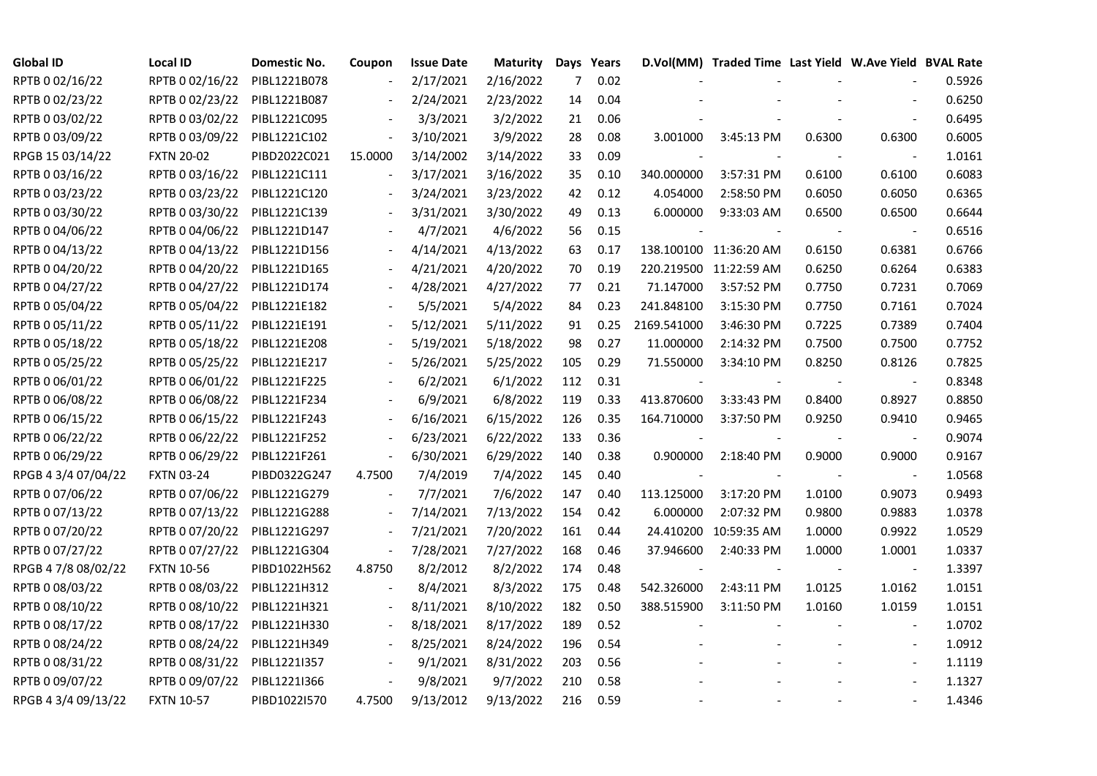| <b>Global ID</b>    | Local ID          | Domestic No. | Coupon                   | <b>Issue Date</b> | Maturity  |     | Days Years |                          | D.Vol(MM) Traded Time Last Yield W.Ave Yield BVAL Rate |        |                          |        |
|---------------------|-------------------|--------------|--------------------------|-------------------|-----------|-----|------------|--------------------------|--------------------------------------------------------|--------|--------------------------|--------|
| RPTB 0 02/16/22     | RPTB 0 02/16/22   | PIBL1221B078 |                          | 2/17/2021         | 2/16/2022 | 7   | 0.02       |                          |                                                        |        |                          | 0.5926 |
| RPTB 0 02/23/22     | RPTB 0 02/23/22   | PIBL1221B087 |                          | 2/24/2021         | 2/23/2022 | 14  | 0.04       |                          |                                                        |        |                          | 0.6250 |
| RPTB 0 03/02/22     | RPTB 0 03/02/22   | PIBL1221C095 |                          | 3/3/2021          | 3/2/2022  | 21  | 0.06       |                          |                                                        |        |                          | 0.6495 |
| RPTB 0 03/09/22     | RPTB 0 03/09/22   | PIBL1221C102 | $\overline{\phantom{a}}$ | 3/10/2021         | 3/9/2022  | 28  | 0.08       | 3.001000                 | 3:45:13 PM                                             | 0.6300 | 0.6300                   | 0.6005 |
| RPGB 15 03/14/22    | <b>FXTN 20-02</b> | PIBD2022C021 | 15.0000                  | 3/14/2002         | 3/14/2022 | 33  | 0.09       |                          |                                                        |        |                          | 1.0161 |
| RPTB 0 03/16/22     | RPTB 0 03/16/22   | PIBL1221C111 |                          | 3/17/2021         | 3/16/2022 | 35  | 0.10       | 340.000000               | 3:57:31 PM                                             | 0.6100 | 0.6100                   | 0.6083 |
| RPTB 0 03/23/22     | RPTB 0 03/23/22   | PIBL1221C120 |                          | 3/24/2021         | 3/23/2022 | 42  | 0.12       | 4.054000                 | 2:58:50 PM                                             | 0.6050 | 0.6050                   | 0.6365 |
| RPTB 0 03/30/22     | RPTB 0 03/30/22   | PIBL1221C139 |                          | 3/31/2021         | 3/30/2022 | 49  | 0.13       | 6.000000                 | 9:33:03 AM                                             | 0.6500 | 0.6500                   | 0.6644 |
| RPTB 0 04/06/22     | RPTB 0 04/06/22   | PIBL1221D147 |                          | 4/7/2021          | 4/6/2022  | 56  | 0.15       |                          |                                                        |        |                          | 0.6516 |
| RPTB 0 04/13/22     | RPTB 0 04/13/22   | PIBL1221D156 |                          | 4/14/2021         | 4/13/2022 | 63  | 0.17       |                          | 138.100100 11:36:20 AM                                 | 0.6150 | 0.6381                   | 0.6766 |
| RPTB 0 04/20/22     | RPTB 0 04/20/22   | PIBL1221D165 | $\overline{\phantom{a}}$ | 4/21/2021         | 4/20/2022 | 70  | 0.19       |                          | 220.219500 11:22:59 AM                                 | 0.6250 | 0.6264                   | 0.6383 |
| RPTB 0 04/27/22     | RPTB 0 04/27/22   | PIBL1221D174 |                          | 4/28/2021         | 4/27/2022 | 77  | 0.21       | 71.147000                | 3:57:52 PM                                             | 0.7750 | 0.7231                   | 0.7069 |
| RPTB 0 05/04/22     | RPTB 0 05/04/22   | PIBL1221E182 |                          | 5/5/2021          | 5/4/2022  | 84  | 0.23       | 241.848100               | 3:15:30 PM                                             | 0.7750 | 0.7161                   | 0.7024 |
| RPTB 0 05/11/22     | RPTB 0 05/11/22   | PIBL1221E191 |                          | 5/12/2021         | 5/11/2022 | 91  | 0.25       | 2169.541000              | 3:46:30 PM                                             | 0.7225 | 0.7389                   | 0.7404 |
| RPTB 0 05/18/22     | RPTB 0 05/18/22   | PIBL1221E208 |                          | 5/19/2021         | 5/18/2022 | 98  | 0.27       | 11.000000                | 2:14:32 PM                                             | 0.7500 | 0.7500                   | 0.7752 |
| RPTB 0 05/25/22     | RPTB 0 05/25/22   | PIBL1221E217 |                          | 5/26/2021         | 5/25/2022 | 105 | 0.29       | 71.550000                | 3:34:10 PM                                             | 0.8250 | 0.8126                   | 0.7825 |
| RPTB 0 06/01/22     | RPTB 0 06/01/22   | PIBL1221F225 |                          | 6/2/2021          | 6/1/2022  | 112 | 0.31       |                          |                                                        |        |                          | 0.8348 |
| RPTB 0 06/08/22     | RPTB 0 06/08/22   | PIBL1221F234 | $\overline{\phantom{a}}$ | 6/9/2021          | 6/8/2022  | 119 | 0.33       | 413.870600               | 3:33:43 PM                                             | 0.8400 | 0.8927                   | 0.8850 |
| RPTB 0 06/15/22     | RPTB 0 06/15/22   | PIBL1221F243 |                          | 6/16/2021         | 6/15/2022 | 126 | 0.35       | 164.710000               | 3:37:50 PM                                             | 0.9250 | 0.9410                   | 0.9465 |
| RPTB 0 06/22/22     | RPTB 0 06/22/22   | PIBL1221F252 |                          | 6/23/2021         | 6/22/2022 | 133 | 0.36       | $\overline{\phantom{a}}$ |                                                        |        |                          | 0.9074 |
| RPTB 0 06/29/22     | RPTB 0 06/29/22   | PIBL1221F261 | $\blacksquare$           | 6/30/2021         | 6/29/2022 | 140 | 0.38       | 0.900000                 | 2:18:40 PM                                             | 0.9000 | 0.9000                   | 0.9167 |
| RPGB 4 3/4 07/04/22 | <b>FXTN 03-24</b> | PIBD0322G247 | 4.7500                   | 7/4/2019          | 7/4/2022  | 145 | 0.40       | $\overline{\phantom{a}}$ |                                                        |        | $\blacksquare$           | 1.0568 |
| RPTB 0 07/06/22     | RPTB 0 07/06/22   | PIBL1221G279 |                          | 7/7/2021          | 7/6/2022  | 147 | 0.40       | 113.125000               | 3:17:20 PM                                             | 1.0100 | 0.9073                   | 0.9493 |
| RPTB 0 07/13/22     | RPTB 0 07/13/22   | PIBL1221G288 | $\overline{\phantom{a}}$ | 7/14/2021         | 7/13/2022 | 154 | 0.42       | 6.000000                 | 2:07:32 PM                                             | 0.9800 | 0.9883                   | 1.0378 |
| RPTB 0 07/20/22     | RPTB 0 07/20/22   | PIBL1221G297 | $\overline{\phantom{a}}$ | 7/21/2021         | 7/20/2022 | 161 | 0.44       |                          | 24.410200 10:59:35 AM                                  | 1.0000 | 0.9922                   | 1.0529 |
| RPTB 0 07/27/22     | RPTB 0 07/27/22   | PIBL1221G304 | $\blacksquare$           | 7/28/2021         | 7/27/2022 | 168 | 0.46       | 37.946600                | 2:40:33 PM                                             | 1.0000 | 1.0001                   | 1.0337 |
| RPGB 4 7/8 08/02/22 | <b>FXTN 10-56</b> | PIBD1022H562 | 4.8750                   | 8/2/2012          | 8/2/2022  | 174 | 0.48       |                          |                                                        |        | $\overline{\phantom{a}}$ | 1.3397 |
| RPTB 0 08/03/22     | RPTB 0 08/03/22   | PIBL1221H312 | $\blacksquare$           | 8/4/2021          | 8/3/2022  | 175 | 0.48       | 542.326000               | 2:43:11 PM                                             | 1.0125 | 1.0162                   | 1.0151 |
| RPTB 0 08/10/22     | RPTB 0 08/10/22   | PIBL1221H321 |                          | 8/11/2021         | 8/10/2022 | 182 | 0.50       | 388.515900               | 3:11:50 PM                                             | 1.0160 | 1.0159                   | 1.0151 |
| RPTB 0 08/17/22     | RPTB 0 08/17/22   | PIBL1221H330 |                          | 8/18/2021         | 8/17/2022 | 189 | 0.52       |                          |                                                        |        |                          | 1.0702 |
| RPTB 0 08/24/22     | RPTB 0 08/24/22   | PIBL1221H349 |                          | 8/25/2021         | 8/24/2022 | 196 | 0.54       |                          |                                                        |        | $\overline{\phantom{a}}$ | 1.0912 |
| RPTB 0 08/31/22     | RPTB 0 08/31/22   | PIBL1221I357 | $\blacksquare$           | 9/1/2021          | 8/31/2022 | 203 | 0.56       |                          |                                                        |        | $\overline{\phantom{a}}$ | 1.1119 |
| RPTB 0 09/07/22     | RPTB 0 09/07/22   | PIBL1221I366 |                          | 9/8/2021          | 9/7/2022  | 210 | 0.58       |                          |                                                        |        |                          | 1.1327 |
| RPGB 4 3/4 09/13/22 | <b>FXTN 10-57</b> | PIBD1022I570 | 4.7500                   | 9/13/2012         | 9/13/2022 | 216 | 0.59       |                          |                                                        |        |                          | 1.4346 |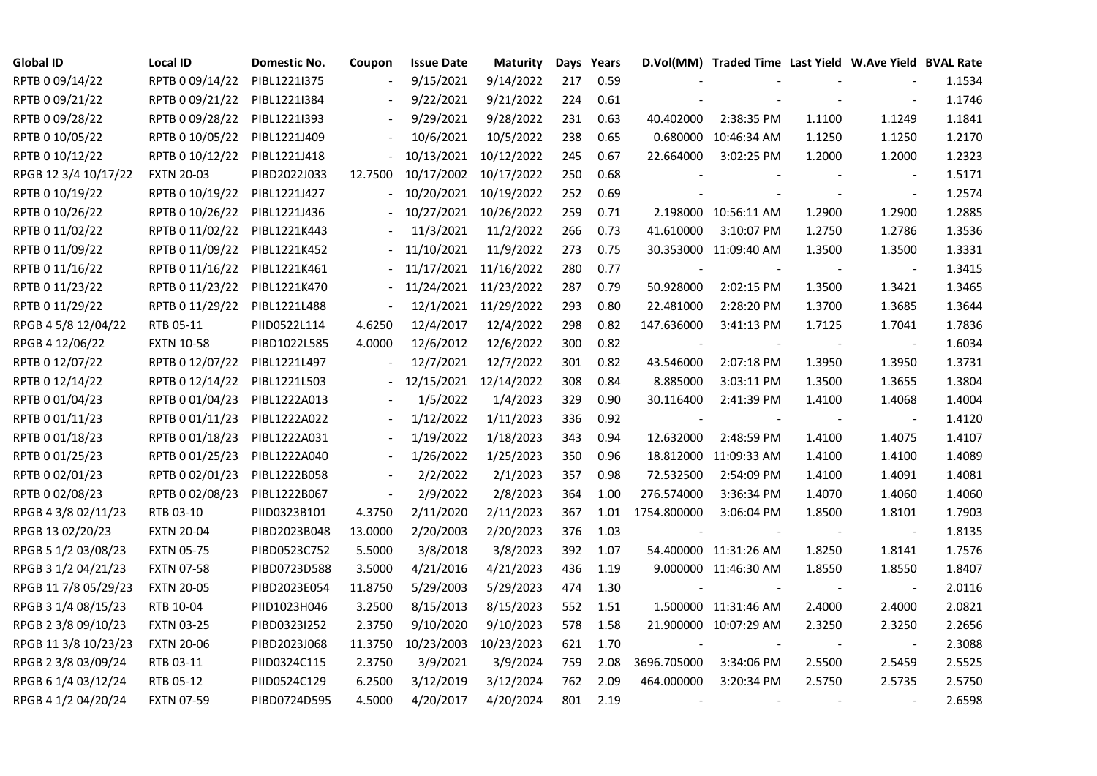| <b>Global ID</b>     | <b>Local ID</b>   | Domestic No. | Coupon         | <b>Issue Date</b> | Maturity             |     | Days Years |                          | D.Vol(MM) Traded Time Last Yield W.Ave Yield BVAL Rate |        |                          |        |
|----------------------|-------------------|--------------|----------------|-------------------|----------------------|-----|------------|--------------------------|--------------------------------------------------------|--------|--------------------------|--------|
| RPTB 0 09/14/22      | RPTB 0 09/14/22   | PIBL1221I375 |                | 9/15/2021         | 9/14/2022            | 217 | 0.59       |                          |                                                        |        |                          | 1.1534 |
| RPTB 0 09/21/22      | RPTB 0 09/21/22   | PIBL1221I384 |                | 9/22/2021         | 9/21/2022            | 224 | 0.61       |                          |                                                        |        |                          | 1.1746 |
| RPTB 0 09/28/22      | RPTB 0 09/28/22   | PIBL1221I393 |                | 9/29/2021         | 9/28/2022            | 231 | 0.63       | 40.402000                | 2:38:35 PM                                             | 1.1100 | 1.1249                   | 1.1841 |
| RPTB 0 10/05/22      | RPTB 0 10/05/22   | PIBL1221J409 |                | 10/6/2021         | 10/5/2022            | 238 | 0.65       |                          | 0.680000 10:46:34 AM                                   | 1.1250 | 1.1250                   | 1.2170 |
| RPTB 0 10/12/22      | RPTB 0 10/12/22   | PIBL1221J418 | $\frac{1}{2}$  | 10/13/2021        | 10/12/2022           | 245 | 0.67       | 22.664000                | 3:02:25 PM                                             | 1.2000 | 1.2000                   | 1.2323 |
| RPGB 12 3/4 10/17/22 | <b>FXTN 20-03</b> | PIBD2022J033 | 12.7500        | 10/17/2002        | 10/17/2022           | 250 | 0.68       |                          |                                                        |        |                          | 1.5171 |
| RPTB 0 10/19/22      | RPTB 0 10/19/22   | PIBL1221J427 |                | 10/20/2021        | 10/19/2022           | 252 | 0.69       |                          |                                                        |        | $\sim$                   | 1.2574 |
| RPTB 0 10/26/22      | RPTB 0 10/26/22   | PIBL1221J436 |                | 10/27/2021        | 10/26/2022           | 259 | 0.71       |                          | 2.198000 10:56:11 AM                                   | 1.2900 | 1.2900                   | 1.2885 |
| RPTB 0 11/02/22      | RPTB 0 11/02/22   | PIBL1221K443 |                | 11/3/2021         | 11/2/2022            | 266 | 0.73       | 41.610000                | 3:10:07 PM                                             | 1.2750 | 1.2786                   | 1.3536 |
| RPTB 0 11/09/22      | RPTB 0 11/09/22   | PIBL1221K452 |                | 11/10/2021        | 11/9/2022            | 273 | 0.75       |                          | 30.353000 11:09:40 AM                                  | 1.3500 | 1.3500                   | 1.3331 |
| RPTB 0 11/16/22      | RPTB 0 11/16/22   | PIBL1221K461 |                | 11/17/2021        | 11/16/2022           | 280 | 0.77       |                          |                                                        |        | $\overline{\phantom{a}}$ | 1.3415 |
| RPTB 0 11/23/22      | RPTB 0 11/23/22   | PIBL1221K470 |                | 11/24/2021        | 11/23/2022           | 287 | 0.79       | 50.928000                | 2:02:15 PM                                             | 1.3500 | 1.3421                   | 1.3465 |
| RPTB 0 11/29/22      | RPTB 0 11/29/22   | PIBL1221L488 | $\blacksquare$ |                   | 12/1/2021 11/29/2022 | 293 | 0.80       | 22.481000                | 2:28:20 PM                                             | 1.3700 | 1.3685                   | 1.3644 |
| RPGB 4 5/8 12/04/22  | RTB 05-11         | PIID0522L114 | 4.6250         | 12/4/2017         | 12/4/2022            | 298 | 0.82       | 147.636000               | 3:41:13 PM                                             | 1.7125 | 1.7041                   | 1.7836 |
| RPGB 4 12/06/22      | <b>FXTN 10-58</b> | PIBD1022L585 | 4.0000         | 12/6/2012         | 12/6/2022            | 300 | 0.82       | $\overline{\phantom{a}}$ |                                                        | $\sim$ | $\blacksquare$           | 1.6034 |
| RPTB 0 12/07/22      | RPTB 0 12/07/22   | PIBL1221L497 |                | 12/7/2021         | 12/7/2022            | 301 | 0.82       | 43.546000                | 2:07:18 PM                                             | 1.3950 | 1.3950                   | 1.3731 |
| RPTB 0 12/14/22      | RPTB 0 12/14/22   | PIBL1221L503 |                | 12/15/2021        | 12/14/2022           | 308 | 0.84       | 8.885000                 | 3:03:11 PM                                             | 1.3500 | 1.3655                   | 1.3804 |
| RPTB 0 01/04/23      | RPTB 0 01/04/23   | PIBL1222A013 |                | 1/5/2022          | 1/4/2023             | 329 | 0.90       | 30.116400                | 2:41:39 PM                                             | 1.4100 | 1.4068                   | 1.4004 |
| RPTB 0 01/11/23      | RPTB 0 01/11/23   | PIBL1222A022 |                | 1/12/2022         | 1/11/2023            | 336 | 0.92       |                          |                                                        |        |                          | 1.4120 |
| RPTB 0 01/18/23      | RPTB 0 01/18/23   | PIBL1222A031 |                | 1/19/2022         | 1/18/2023            | 343 | 0.94       | 12.632000                | 2:48:59 PM                                             | 1.4100 | 1.4075                   | 1.4107 |
| RPTB 0 01/25/23      | RPTB 0 01/25/23   | PIBL1222A040 | $\blacksquare$ | 1/26/2022         | 1/25/2023            | 350 | 0.96       |                          | 18.812000 11:09:33 AM                                  | 1.4100 | 1.4100                   | 1.4089 |
| RPTB 0 02/01/23      | RPTB 0 02/01/23   | PIBL1222B058 |                | 2/2/2022          | 2/1/2023             | 357 | 0.98       | 72.532500                | 2:54:09 PM                                             | 1.4100 | 1.4091                   | 1.4081 |
| RPTB 0 02/08/23      | RPTB 0 02/08/23   | PIBL1222B067 | $\overline{a}$ | 2/9/2022          | 2/8/2023             | 364 | 1.00       | 276.574000               | 3:36:34 PM                                             | 1.4070 | 1.4060                   | 1.4060 |
| RPGB 4 3/8 02/11/23  | RTB 03-10         | PIID0323B101 | 4.3750         | 2/11/2020         | 2/11/2023            | 367 | 1.01       | 1754.800000              | 3:06:04 PM                                             | 1.8500 | 1.8101                   | 1.7903 |
| RPGB 13 02/20/23     | <b>FXTN 20-04</b> | PIBD2023B048 | 13.0000        | 2/20/2003         | 2/20/2023            | 376 | 1.03       |                          |                                                        |        |                          | 1.8135 |
| RPGB 5 1/2 03/08/23  | <b>FXTN 05-75</b> | PIBD0523C752 | 5.5000         | 3/8/2018          | 3/8/2023             | 392 | 1.07       |                          | 54.400000 11:31:26 AM                                  | 1.8250 | 1.8141                   | 1.7576 |
| RPGB 3 1/2 04/21/23  | <b>FXTN 07-58</b> | PIBD0723D588 | 3.5000         | 4/21/2016         | 4/21/2023            | 436 | 1.19       |                          | 9.000000 11:46:30 AM                                   | 1.8550 | 1.8550                   | 1.8407 |
| RPGB 11 7/8 05/29/23 | <b>FXTN 20-05</b> | PIBD2023E054 | 11.8750        | 5/29/2003         | 5/29/2023            | 474 | 1.30       |                          |                                                        |        | $\sim$                   | 2.0116 |
| RPGB 3 1/4 08/15/23  | RTB 10-04         | PIID1023H046 | 3.2500         | 8/15/2013         | 8/15/2023            | 552 | 1.51       |                          | 1.500000 11:31:46 AM                                   | 2.4000 | 2.4000                   | 2.0821 |
| RPGB 2 3/8 09/10/23  | <b>FXTN 03-25</b> | PIBD0323I252 | 2.3750         | 9/10/2020         | 9/10/2023            | 578 | 1.58       |                          | 21.900000 10:07:29 AM                                  | 2.3250 | 2.3250                   | 2.2656 |
| RPGB 11 3/8 10/23/23 | <b>FXTN 20-06</b> | PIBD2023J068 | 11.3750        | 10/23/2003        | 10/23/2023           | 621 | 1.70       |                          |                                                        |        |                          | 2.3088 |
| RPGB 2 3/8 03/09/24  | RTB 03-11         | PIID0324C115 | 2.3750         | 3/9/2021          | 3/9/2024             | 759 | 2.08       | 3696.705000              | 3:34:06 PM                                             | 2.5500 | 2.5459                   | 2.5525 |
| RPGB 6 1/4 03/12/24  | RTB 05-12         | PIID0524C129 | 6.2500         | 3/12/2019         | 3/12/2024            | 762 | 2.09       | 464.000000               | 3:20:34 PM                                             | 2.5750 | 2.5735                   | 2.5750 |
| RPGB 4 1/2 04/20/24  | <b>FXTN 07-59</b> | PIBD0724D595 | 4.5000         | 4/20/2017         | 4/20/2024            | 801 | 2.19       | $\overline{\phantom{a}}$ |                                                        |        |                          | 2.6598 |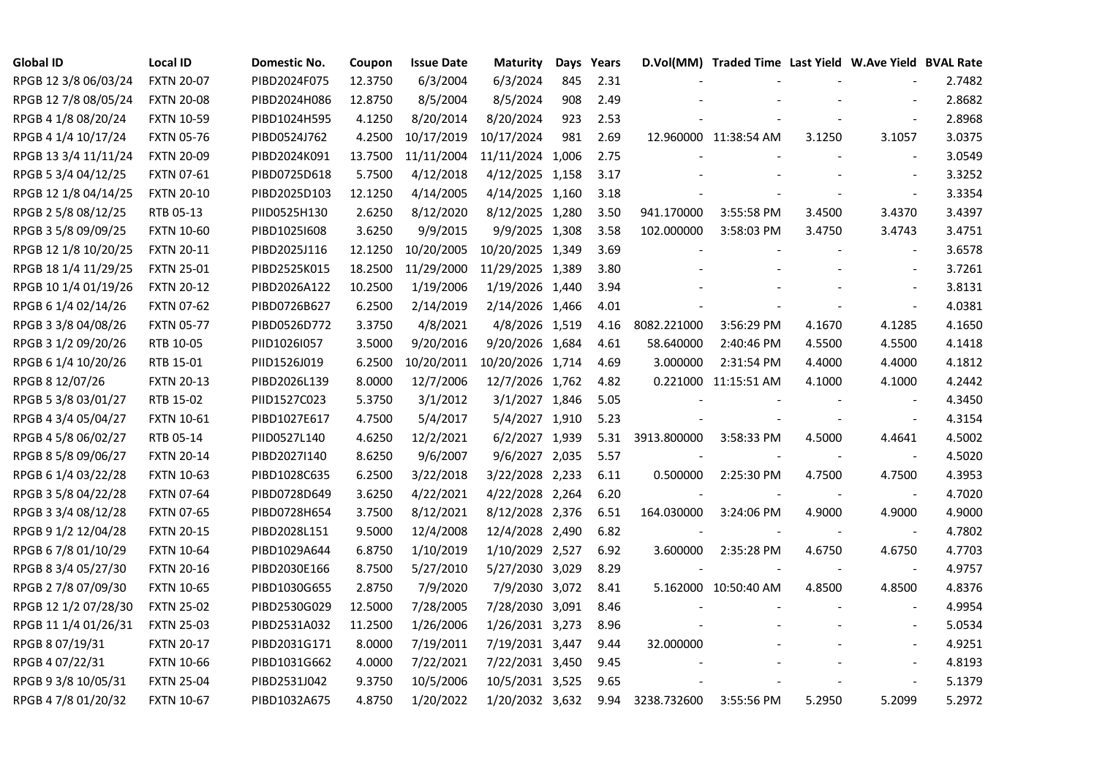| <b>Global ID</b>     | <b>Local ID</b>   | Domestic No. | Coupon  | Issue Date | <b>Maturity</b>  |     | Days Years |             | D.Vol(MM) Traded Time Last Yield W.Ave Yield BVAL Rate |                |                          |        |
|----------------------|-------------------|--------------|---------|------------|------------------|-----|------------|-------------|--------------------------------------------------------|----------------|--------------------------|--------|
| RPGB 12 3/8 06/03/24 | <b>FXTN 20-07</b> | PIBD2024F075 | 12.3750 | 6/3/2004   | 6/3/2024         | 845 | 2.31       |             |                                                        |                |                          | 2.7482 |
| RPGB 12 7/8 08/05/24 | <b>FXTN 20-08</b> | PIBD2024H086 | 12.8750 | 8/5/2004   | 8/5/2024         | 908 | 2.49       |             |                                                        |                |                          | 2.8682 |
| RPGB 4 1/8 08/20/24  | <b>FXTN 10-59</b> | PIBD1024H595 | 4.1250  | 8/20/2014  | 8/20/2024        | 923 | 2.53       |             |                                                        |                |                          | 2.8968 |
| RPGB 4 1/4 10/17/24  | <b>FXTN 05-76</b> | PIBD0524J762 | 4.2500  | 10/17/2019 | 10/17/2024       | 981 | 2.69       |             | 12.960000 11:38:54 AM                                  | 3.1250         | 3.1057                   | 3.0375 |
| RPGB 13 3/4 11/11/24 | <b>FXTN 20-09</b> | PIBD2024K091 | 13.7500 | 11/11/2004 | 11/11/2024 1,006 |     | 2.75       |             |                                                        |                | $\blacksquare$           | 3.0549 |
| RPGB 5 3/4 04/12/25  | <b>FXTN 07-61</b> | PIBD0725D618 | 5.7500  | 4/12/2018  | 4/12/2025 1,158  |     | 3.17       |             |                                                        |                | $\blacksquare$           | 3.3252 |
| RPGB 12 1/8 04/14/25 | <b>FXTN 20-10</b> | PIBD2025D103 | 12.1250 | 4/14/2005  | 4/14/2025 1,160  |     | 3.18       |             |                                                        |                | $\blacksquare$           | 3.3354 |
| RPGB 2 5/8 08/12/25  | RTB 05-13         | PIID0525H130 | 2.6250  | 8/12/2020  | 8/12/2025 1,280  |     | 3.50       | 941.170000  | 3:55:58 PM                                             | 3.4500         | 3.4370                   | 3.4397 |
| RPGB 3 5/8 09/09/25  | <b>FXTN 10-60</b> | PIBD10251608 | 3.6250  | 9/9/2015   | 9/9/2025 1,308   |     | 3.58       | 102.000000  | 3:58:03 PM                                             | 3.4750         | 3.4743                   | 3.4751 |
| RPGB 12 1/8 10/20/25 | <b>FXTN 20-11</b> | PIBD2025J116 | 12.1250 | 10/20/2005 | 10/20/2025 1,349 |     | 3.69       |             |                                                        |                | $\sim$                   | 3.6578 |
| RPGB 18 1/4 11/29/25 | <b>FXTN 25-01</b> | PIBD2525K015 | 18.2500 | 11/29/2000 | 11/29/2025 1,389 |     | 3.80       |             |                                                        |                | $\blacksquare$           | 3.7261 |
| RPGB 10 1/4 01/19/26 | <b>FXTN 20-12</b> | PIBD2026A122 | 10.2500 | 1/19/2006  | 1/19/2026 1,440  |     | 3.94       |             |                                                        |                | $\blacksquare$           | 3.8131 |
| RPGB 6 1/4 02/14/26  | <b>FXTN 07-62</b> | PIBD0726B627 | 6.2500  | 2/14/2019  | 2/14/2026 1,466  |     | 4.01       |             |                                                        |                | $\blacksquare$           | 4.0381 |
| RPGB 3 3/8 04/08/26  | <b>FXTN 05-77</b> | PIBD0526D772 | 3.3750  | 4/8/2021   | 4/8/2026 1,519   |     | 4.16       | 8082.221000 | 3:56:29 PM                                             | 4.1670         | 4.1285                   | 4.1650 |
| RPGB 3 1/2 09/20/26  | RTB 10-05         | PIID1026I057 | 3.5000  | 9/20/2016  | 9/20/2026 1,684  |     | 4.61       | 58.640000   | 2:40:46 PM                                             | 4.5500         | 4.5500                   | 4.1418 |
| RPGB 6 1/4 10/20/26  | RTB 15-01         | PIID1526J019 | 6.2500  | 10/20/2011 | 10/20/2026 1,714 |     | 4.69       | 3.000000    | 2:31:54 PM                                             | 4.4000         | 4.4000                   | 4.1812 |
| RPGB 8 12/07/26      | <b>FXTN 20-13</b> | PIBD2026L139 | 8.0000  | 12/7/2006  | 12/7/2026 1,762  |     | 4.82       |             | 0.221000 11:15:51 AM                                   | 4.1000         | 4.1000                   | 4.2442 |
| RPGB 5 3/8 03/01/27  | RTB 15-02         | PIID1527C023 | 5.3750  | 3/1/2012   | 3/1/2027 1,846   |     | 5.05       |             |                                                        |                | $\blacksquare$           | 4.3450 |
| RPGB 4 3/4 05/04/27  | <b>FXTN 10-61</b> | PIBD1027E617 | 4.7500  | 5/4/2017   | 5/4/2027 1,910   |     | 5.23       |             |                                                        |                | $\sim$                   | 4.3154 |
| RPGB 4 5/8 06/02/27  | RTB 05-14         | PIID0527L140 | 4.6250  | 12/2/2021  | 6/2/2027 1,939   |     | 5.31       | 3913.800000 | 3:58:33 PM                                             | 4.5000         | 4.4641                   | 4.5002 |
| RPGB 8 5/8 09/06/27  | <b>FXTN 20-14</b> | PIBD2027I140 | 8.6250  | 9/6/2007   | 9/6/2027 2,035   |     | 5.57       |             |                                                        | $\blacksquare$ | $\blacksquare$           | 4.5020 |
| RPGB 6 1/4 03/22/28  | <b>FXTN 10-63</b> | PIBD1028C635 | 6.2500  | 3/22/2018  | 3/22/2028 2,233  |     | 6.11       | 0.500000    | 2:25:30 PM                                             | 4.7500         | 4.7500                   | 4.3953 |
| RPGB 3 5/8 04/22/28  | <b>FXTN 07-64</b> | PIBD0728D649 | 3.6250  | 4/22/2021  | 4/22/2028 2,264  |     | 6.20       |             |                                                        |                |                          | 4.7020 |
| RPGB 3 3/4 08/12/28  | <b>FXTN 07-65</b> | PIBD0728H654 | 3.7500  | 8/12/2021  | 8/12/2028 2,376  |     | 6.51       | 164.030000  | 3:24:06 PM                                             | 4.9000         | 4.9000                   | 4.9000 |
| RPGB 9 1/2 12/04/28  | <b>FXTN 20-15</b> | PIBD2028L151 | 9.5000  | 12/4/2008  | 12/4/2028 2,490  |     | 6.82       |             |                                                        |                | $\blacksquare$           | 4.7802 |
| RPGB 6 7/8 01/10/29  | <b>FXTN 10-64</b> | PIBD1029A644 | 6.8750  | 1/10/2019  | 1/10/2029 2,527  |     | 6.92       | 3.600000    | 2:35:28 PM                                             | 4.6750         | 4.6750                   | 4.7703 |
| RPGB 8 3/4 05/27/30  | <b>FXTN 20-16</b> | PIBD2030E166 | 8.7500  | 5/27/2010  | 5/27/2030 3,029  |     | 8.29       |             |                                                        |                | $\blacksquare$           | 4.9757 |
| RPGB 2 7/8 07/09/30  | <b>FXTN 10-65</b> | PIBD1030G655 | 2.8750  | 7/9/2020   | 7/9/2030 3,072   |     | 8.41       |             | 5.162000 10:50:40 AM                                   | 4.8500         | 4.8500                   | 4.8376 |
| RPGB 12 1/2 07/28/30 | <b>FXTN 25-02</b> | PIBD2530G029 | 12.5000 | 7/28/2005  | 7/28/2030 3,091  |     | 8.46       |             |                                                        |                |                          | 4.9954 |
| RPGB 11 1/4 01/26/31 | <b>FXTN 25-03</b> | PIBD2531A032 | 11.2500 | 1/26/2006  | 1/26/2031 3,273  |     | 8.96       |             |                                                        |                |                          | 5.0534 |
| RPGB 8 07/19/31      | <b>FXTN 20-17</b> | PIBD2031G171 | 8.0000  | 7/19/2011  | 7/19/2031 3,447  |     | 9.44       | 32.000000   |                                                        |                | $\overline{\phantom{a}}$ | 4.9251 |
| RPGB 4 07/22/31      | <b>FXTN 10-66</b> | PIBD1031G662 | 4.0000  | 7/22/2021  | 7/22/2031 3,450  |     | 9.45       |             |                                                        |                | $\blacksquare$           | 4.8193 |
| RPGB 9 3/8 10/05/31  | <b>FXTN 25-04</b> | PIBD2531J042 | 9.3750  | 10/5/2006  | 10/5/2031 3,525  |     | 9.65       |             |                                                        |                | $\blacksquare$           | 5.1379 |
| RPGB 4 7/8 01/20/32  | <b>FXTN 10-67</b> | PIBD1032A675 | 4.8750  | 1/20/2022  | 1/20/2032 3,632  |     | 9.94       | 3238.732600 | 3:55:56 PM                                             | 5.2950         | 5.2099                   | 5.2972 |